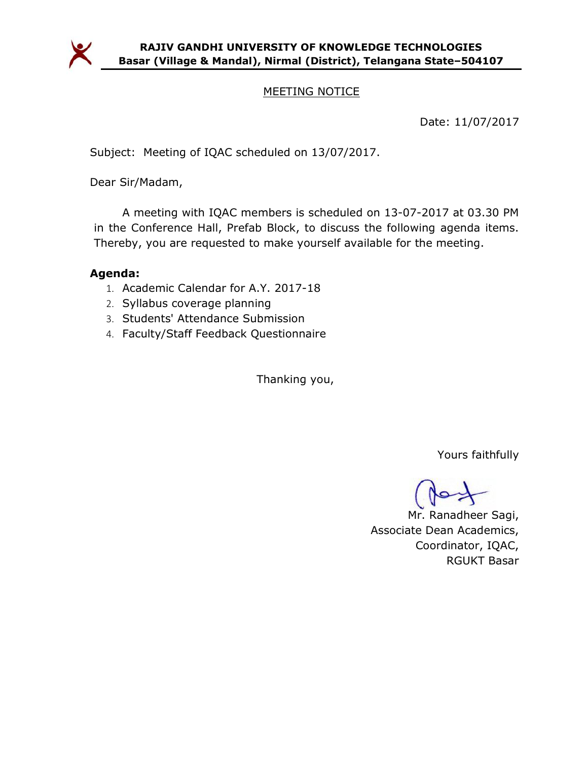

# MEETING NOTICE

Date: 11/07/2017

Subject: Meeting of IQAC scheduled on 13/07/2017.

Dear Sir/Madam,

A meeting with IQAC members is scheduled on 13-07-2017 at 03.30 PM in the Conference Hall, Prefab Block, to discuss the following agenda items. Thereby, you are requested to make yourself available for the meeting.

## Agenda:

- 1. Academic Calendar for A.Y. 2017-18
- 2. Syllabus coverage planning
- 3. Students' Attendance Submission
- 4. Faculty/Staff Feedback Questionnaire

Thanking you,

Yours faithfully

Mr. Ranadheer Sagi, Associate Dean Academics, Coordinator, IQAC, RGUKT Basar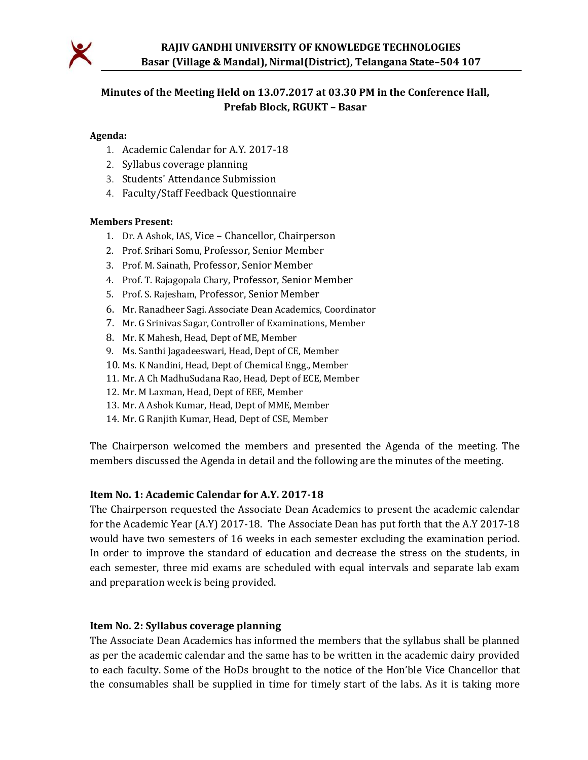

# Minutes of the Meeting Held on 13.07.2017 at 03.30 PM in the Conference Hall, Prefab Block, RGUKT – Basar

#### Agenda:

- 1. Academic Calendar for A.Y. 2017-18
- 2. Syllabus coverage planning
- 3. Students' Attendance Submission
- 4. Faculty/Staff Feedback Questionnaire

#### Members Present:

- 1. Dr. A Ashok, IAS, Vice Chancellor, Chairperson
- 2. Prof. Srihari Somu, Professor, Senior Member
- 3. Prof. M. Sainath, Professor, Senior Member
- 4. Prof. T. Rajagopala Chary, Professor, Senior Member
- 5. Prof. S. Rajesham, Professor, Senior Member
- 6. Mr. Ranadheer Sagi. Associate Dean Academics, Coordinator
- 7. Mr. G Srinivas Sagar, Controller of Examinations, Member
- 8. Mr. K Mahesh, Head, Dept of ME, Member
- 9. Ms. Santhi Jagadeeswari, Head, Dept of CE, Member
- 10. Ms. K Nandini, Head, Dept of Chemical Engg., Member
- 11. Mr. A Ch MadhuSudana Rao, Head, Dept of ECE, Member
- 12. Mr. M Laxman, Head, Dept of EEE, Member
- 13. Mr. A Ashok Kumar, Head, Dept of MME, Member
- 14. Mr. G Ranjith Kumar, Head, Dept of CSE, Member

The Chairperson welcomed the members and presented the Agenda of the meeting. The members discussed the Agenda in detail and the following are the minutes of the meeting.

#### Item No. 1: Academic Calendar for A.Y. 2017-18

The Chairperson requested the Associate Dean Academics to present the academic calendar for the Academic Year (A.Y) 2017-18. The Associate Dean has put forth that the A.Y 2017-18 would have two semesters of 16 weeks in each semester excluding the examination period. In order to improve the standard of education and decrease the stress on the students, in each semester, three mid exams are scheduled with equal intervals and separate lab exam and preparation week is being provided.

#### Item No. 2: Syllabus coverage planning

The Associate Dean Academics has informed the members that the syllabus shall be planned as per the academic calendar and the same has to be written in the academic dairy provided to each faculty. Some of the HoDs brought to the notice of the Hon'ble Vice Chancellor that the consumables shall be supplied in time for timely start of the labs. As it is taking more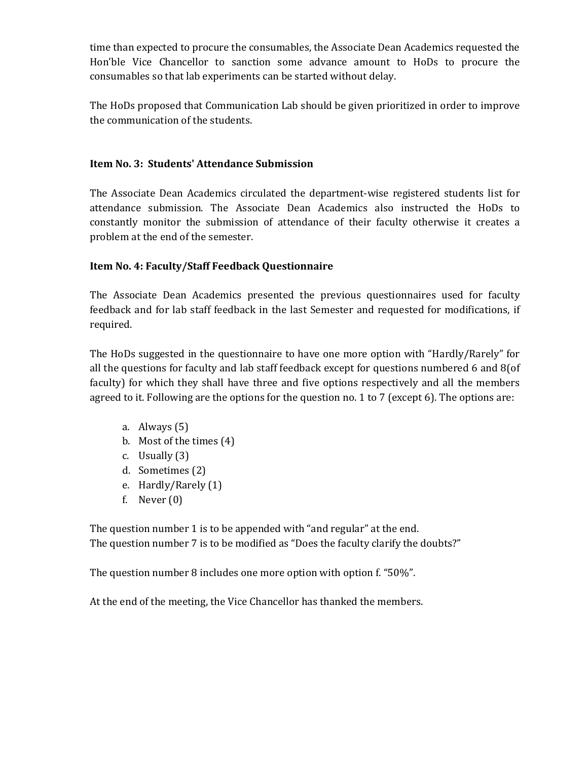time than expected to procure the consumables, the Associate Dean Academics requested the Hon'ble Vice Chancellor to sanction some advance amount to HoDs to procure the consumables so that lab experiments can be started without delay.

The HoDs proposed that Communication Lab should be given prioritized in order to improve the communication of the students.

## Item No. 3: Students' Attendance Submission

The Associate Dean Academics circulated the department-wise registered students list for attendance submission. The Associate Dean Academics also instructed the HoDs to constantly monitor the submission of attendance of their faculty otherwise it creates a problem at the end of the semester.

# Item No. 4: Faculty/Staff Feedback Questionnaire

The Associate Dean Academics presented the previous questionnaires used for faculty feedback and for lab staff feedback in the last Semester and requested for modifications, if required.

The HoDs suggested in the questionnaire to have one more option with "Hardly/Rarely" for all the questions for faculty and lab staff feedback except for questions numbered 6 and 8(of faculty) for which they shall have three and five options respectively and all the members agreed to it. Following are the options for the question no. 1 to 7 (except 6). The options are:

- a. Always (5)
- b. Most of the times (4)
- c. Usually (3)
- d. Sometimes (2)
- e. Hardly/Rarely (1)
- f. Never  $(0)$

The question number 1 is to be appended with "and regular" at the end. The question number 7 is to be modified as "Does the faculty clarify the doubts?"

The question number 8 includes one more option with option f. "50%".

At the end of the meeting, the Vice Chancellor has thanked the members.